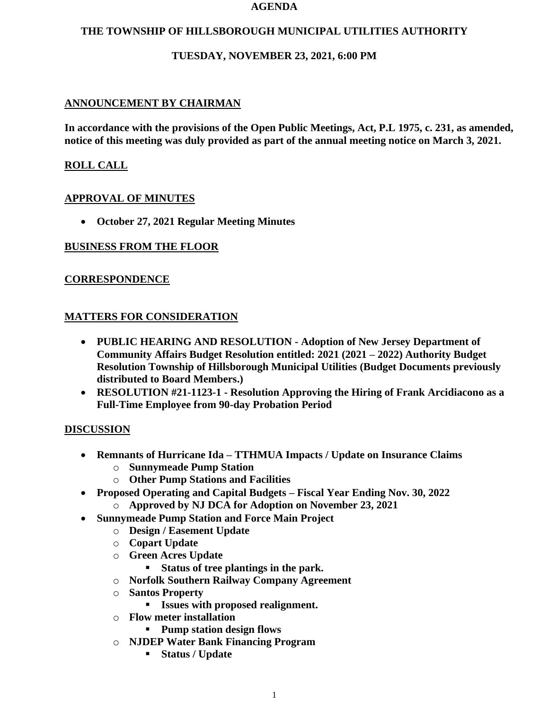#### **AGENDA**

### **THE TOWNSHIP OF HILLSBOROUGH MUNICIPAL UTILITIES AUTHORITY**

# **TUESDAY, NOVEMBER 23, 2021, 6:00 PM**

# **ANNOUNCEMENT BY CHAIRMAN**

**In accordance with the provisions of the Open Public Meetings, Act, P.L 1975, c. 231, as amended, notice of this meeting was duly provided as part of the annual meeting notice on March 3, 2021.**

# **ROLL CALL**

# **APPROVAL OF MINUTES**

• **October 27, 2021 Regular Meeting Minutes**

# **BUSINESS FROM THE FLOOR**

# **CORRESPONDENCE**

### **MATTERS FOR CONSIDERATION**

- **PUBLIC HEARING AND RESOLUTION - Adoption of New Jersey Department of Community Affairs Budget Resolution entitled: 2021 (2021 – 2022) Authority Budget Resolution Township of Hillsborough Municipal Utilities (Budget Documents previously distributed to Board Members.)**
- **RESOLUTION #21-1123-1 - Resolution Approving the Hiring of Frank Arcidiacono as a Full-Time Employee from 90-day Probation Period**

#### **DISCUSSION**

- **Remnants of Hurricane Ida – TTHMUA Impacts / Update on Insurance Claims**
	- o **Sunnymeade Pump Station**
	- o **Other Pump Stations and Facilities**
- **Proposed Operating and Capital Budgets – Fiscal Year Ending Nov. 30, 2022**
	- o **Approved by NJ DCA for Adoption on November 23, 2021**
- **Sunnymeade Pump Station and Force Main Project**
	- o **Design / Easement Update**
	- o **Copart Update**
	- o **Green Acres Update**
		- **Status of tree plantings in the park.**
	- o **Norfolk Southern Railway Company Agreement**
	- o **Santos Property**
		- **Issues with proposed realignment.**
	- o **Flow meter installation**
		- **Pump station design flows**
	- o **NJDEP Water Bank Financing Program**
		- **Status / Update**